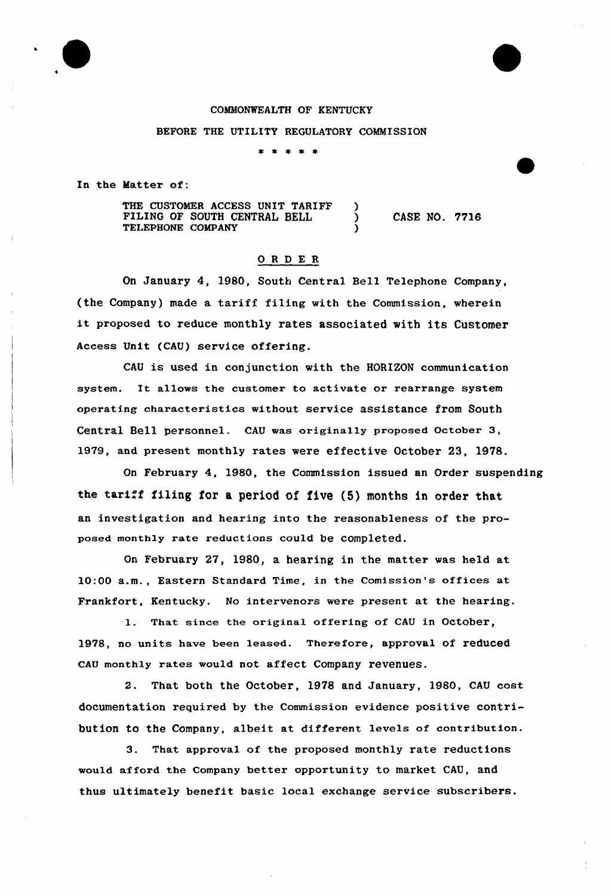### COMMONWEALTH OF KENTUCKY

#### BEFORE THE UTILITY REGULATORY COMMISSION

\* \*

In the Matter of:

THE CUSTOMER ACCESS UNIT TARIFF )<br>FILING OF SOUTH CENTRAL BELL ) FILING OF SOUTH CENTRAL BELL TELEPHONE COMPANY

CASE NO. 7716

### 0 <sup>R</sup> <sup>D</sup> E R

On January 4, 1980, South Central Bell Telephone Company, (the Company) made a tariff filing with the Commission, wherein it proposed to reduce monthly rates associated with its Customer Access Unit (CAU) service offering.

CAU is used in conjunction with the HORIZON communication system. It allows the customer to activate or rearrange system operating characteristics without service assistance from South Central Bell personnel. cAU was originally proposed october 3, l979, and present monthly rates were effective October 23, 1978.

On February 4, 1980, the Commission issued an Order suspending the tariff filing for a period of five (5) months in order that an investigation and hearing into the reasonableness of the proposed monthly rate reductions could be completed.

On February 27, 1980, a hearing in the matter was held at 10:00 a.m., Eastern Standard Time, in the Comission's offices at Frankfort, Kentucky. No intervenors were present at the hearing.

1. That since the original offering of CAU in October, 1978, no units have been leased. Therefore, approval of reduced CAU monthly rates would not affect Company revenues.

2. That both the October, 1978 and January, 1980, CAU cost documentation required by the Commission evidence positive contribution to the Company, albeit at different levels of contribution.

3. That approval of the proposed monthly rate reductions would afford the Company better opportunity to market CAU, and thus ultimately benefit basic local exchange service subscribers.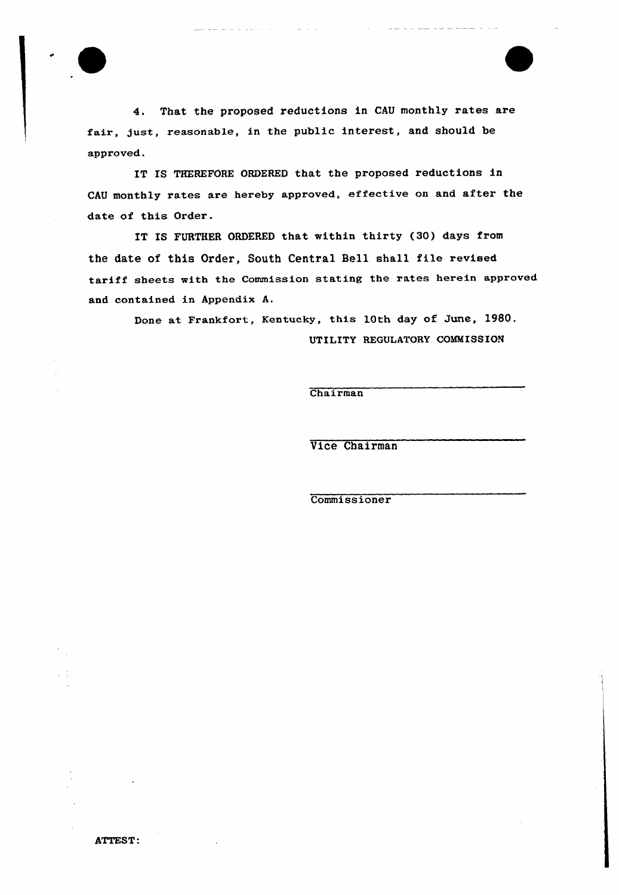

4. That the proposed reductions in CAU monthly rates are fair, gust, reasonable, in the public interest, and should be approved.

IT IS THEREFORE ORDERED that the proposed reductions in CAU monthly rates are hereby appxoved, effective on and after the date of this Order.

IT IS FURTHER ORDERED that within thirty (30) days from the date of this Order, South Central Bell shall file revised tariff sheets with the Commission stating the rates herein approved and contained in Appendix A.

> Done at Frankfort, Kentucky, this 10th day of June, 1980. UTILITY REGULATORY COMMISSION

> > Chairman

Vice Chairman

Commissioner